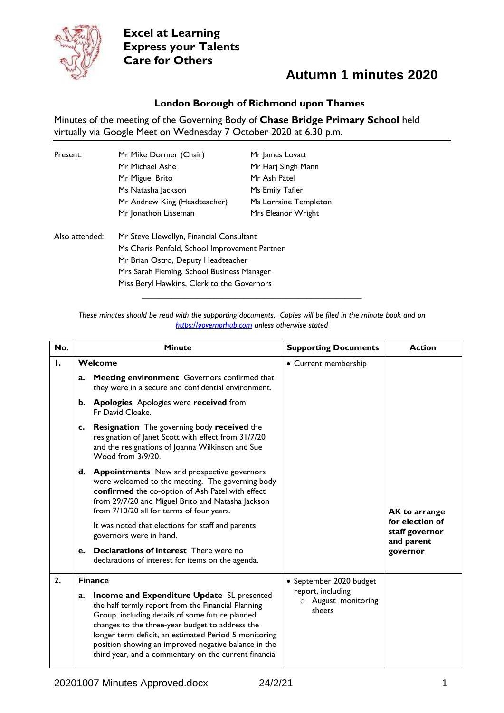

## **Autumn 1 minutes 2020**

#### **London Borough of Richmond upon Thames**

Minutes of the meeting of the Governing Body of **Chase Bridge Primary School** held virtually via Google Meet on Wednesday 7 October 2020 at 6.30 p.m.

| Present:       | Mr Mike Dormer (Chair)<br>Mr Michael Ashe<br>Mr Miguel Brito<br>Ms Natasha Jackson                                                                                                                                          | Mr James Lovatt<br>Mr Harj Singh Mann<br>Mr Ash Patel<br>Ms Emily Tafler |
|----------------|-----------------------------------------------------------------------------------------------------------------------------------------------------------------------------------------------------------------------------|--------------------------------------------------------------------------|
|                | Mr Andrew King (Headteacher)                                                                                                                                                                                                | Ms Lorraine Templeton                                                    |
|                | Mr Jonathon Lisseman                                                                                                                                                                                                        | Mrs Eleanor Wright                                                       |
| Also attended: | Mr Steve Llewellyn, Financial Consultant<br>Ms Charis Penfold, School Improvement Partner<br>Mr Brian Ostro, Deputy Headteacher<br>Mrs Sarah Fleming, School Business Manager<br>Miss Beryl Hawkins, Clerk to the Governors |                                                                          |

#### *These minutes should be read with the supporting documents. Copies will be filed in the minute book and on [https://governorhub.com](https://governorhub.com/) unless otherwise stated*

| No. |    | <b>Minute</b>                                                                                                                                                                                                                                                                                                                                                                    | <b>Supporting Documents</b>                        | <b>Action</b>                                   |
|-----|----|----------------------------------------------------------------------------------------------------------------------------------------------------------------------------------------------------------------------------------------------------------------------------------------------------------------------------------------------------------------------------------|----------------------------------------------------|-------------------------------------------------|
| Ι.  |    | Welcome                                                                                                                                                                                                                                                                                                                                                                          | • Current membership                               |                                                 |
|     | a. | Meeting environment Governors confirmed that<br>they were in a secure and confidential environment.                                                                                                                                                                                                                                                                              |                                                    |                                                 |
|     |    | <b>b.</b> Apologies Apologies were received from<br>Fr David Cloake.                                                                                                                                                                                                                                                                                                             |                                                    |                                                 |
|     | c. | <b>Resignation</b> The governing body received the<br>resignation of Janet Scott with effect from 31/7/20<br>and the resignations of Joanna Wilkinson and Sue<br>Wood from 3/9/20.                                                                                                                                                                                               |                                                    |                                                 |
|     |    | d. Appointments New and prospective governors<br>were welcomed to the meeting. The governing body<br>confirmed the co-option of Ash Patel with effect<br>from 29/7/20 and Miguel Brito and Natasha Jackson<br>from 7/10/20 all for terms of four years.                                                                                                                          |                                                    | <b>AK to arrange</b>                            |
|     |    | It was noted that elections for staff and parents<br>governors were in hand.                                                                                                                                                                                                                                                                                                     |                                                    | for election of<br>staff governor<br>and parent |
|     | e. | Declarations of interest There were no<br>declarations of interest for items on the agenda.                                                                                                                                                                                                                                                                                      |                                                    | governor                                        |
| 2.  |    | <b>Finance</b>                                                                                                                                                                                                                                                                                                                                                                   | • September 2020 budget                            |                                                 |
|     | a. | Income and Expenditure Update SL presented<br>the half termly report from the Financial Planning<br>Group, including details of some future planned<br>changes to the three-year budget to address the<br>longer term deficit, an estimated Period 5 monitoring<br>position showing an improved negative balance in the<br>third year, and a commentary on the current financial | report, including<br>o August monitoring<br>sheets |                                                 |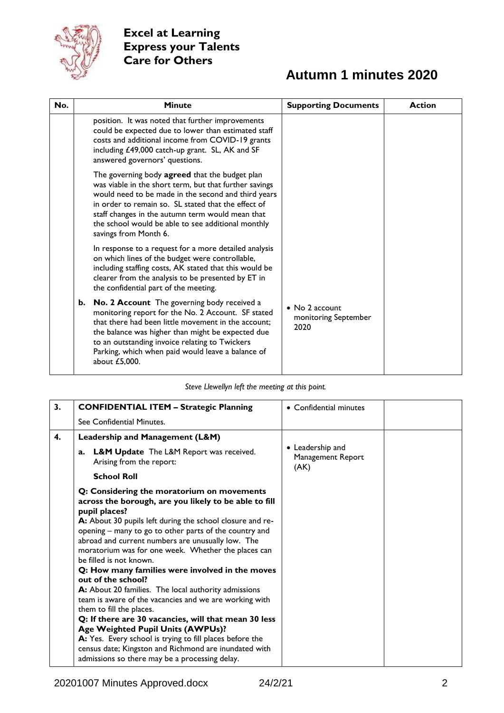

# **Autumn 1 minutes 2020**

| No. |    | <b>Minute</b>                                                                                                                                                                                                                                                                                                                                             | <b>Supporting Documents</b>                            | <b>Action</b> |
|-----|----|-----------------------------------------------------------------------------------------------------------------------------------------------------------------------------------------------------------------------------------------------------------------------------------------------------------------------------------------------------------|--------------------------------------------------------|---------------|
|     |    | position. It was noted that further improvements<br>could be expected due to lower than estimated staff<br>costs and additional income from COVID-19 grants<br>including £49,000 catch-up grant. SL, AK and SF<br>answered governors' questions.                                                                                                          |                                                        |               |
|     |    | The governing body agreed that the budget plan<br>was viable in the short term, but that further savings<br>would need to be made in the second and third years<br>in order to remain so. SL stated that the effect of<br>staff changes in the autumn term would mean that<br>the school would be able to see additional monthly<br>savings from Month 6. |                                                        |               |
|     |    | In response to a request for a more detailed analysis<br>on which lines of the budget were controllable,<br>including staffing costs, AK stated that this would be<br>clearer from the analysis to be presented by ET in<br>the confidential part of the meeting.                                                                                         |                                                        |               |
|     | b. | No. 2 Account The governing body received a<br>monitoring report for the No. 2 Account. SF stated<br>that there had been little movement in the account;<br>the balance was higher than might be expected due<br>to an outstanding invoice relating to Twickers<br>Parking, which when paid would leave a balance of<br>about £5,000.                     | $\bullet$ No 2 account<br>monitoring September<br>2020 |               |

#### *Steve Llewellyn left the meeting at this point.*

| 3. | <b>CONFIDENTIAL ITEM - Strategic Planning</b>                                                                                                                                                                                                                                                                                                                                                                                                                                                                                                                                                                                                                                                                                                                                                                                                                                 | • Confidential minutes                        |  |
|----|-------------------------------------------------------------------------------------------------------------------------------------------------------------------------------------------------------------------------------------------------------------------------------------------------------------------------------------------------------------------------------------------------------------------------------------------------------------------------------------------------------------------------------------------------------------------------------------------------------------------------------------------------------------------------------------------------------------------------------------------------------------------------------------------------------------------------------------------------------------------------------|-----------------------------------------------|--|
|    | See Confidential Minutes.                                                                                                                                                                                                                                                                                                                                                                                                                                                                                                                                                                                                                                                                                                                                                                                                                                                     |                                               |  |
| 4. | Leadership and Management (L&M)                                                                                                                                                                                                                                                                                                                                                                                                                                                                                                                                                                                                                                                                                                                                                                                                                                               |                                               |  |
|    | <b>L&amp;M Update</b> The L&M Report was received.<br>a.<br>Arising from the report:                                                                                                                                                                                                                                                                                                                                                                                                                                                                                                                                                                                                                                                                                                                                                                                          | • Leadership and<br>Management Report<br>(AK) |  |
|    | <b>School Roll</b>                                                                                                                                                                                                                                                                                                                                                                                                                                                                                                                                                                                                                                                                                                                                                                                                                                                            |                                               |  |
|    | Q: Considering the moratorium on movements<br>across the borough, are you likely to be able to fill<br>pupil places?<br>A: About 30 pupils left during the school closure and re-<br>opening – many to go to other parts of the country and<br>abroad and current numbers are unusually low. The<br>moratorium was for one week. Whether the places can<br>be filled is not known.<br>Q: How many families were involved in the moves<br>out of the school?<br>A: About 20 families. The local authority admissions<br>team is aware of the vacancies and we are working with<br>them to fill the places.<br>Q: If there are 30 vacancies, will that mean 30 less<br>Age Weighted Pupil Units (AWPUs)?<br>A: Yes. Every school is trying to fill places before the<br>census date; Kingston and Richmond are inundated with<br>admissions so there may be a processing delay. |                                               |  |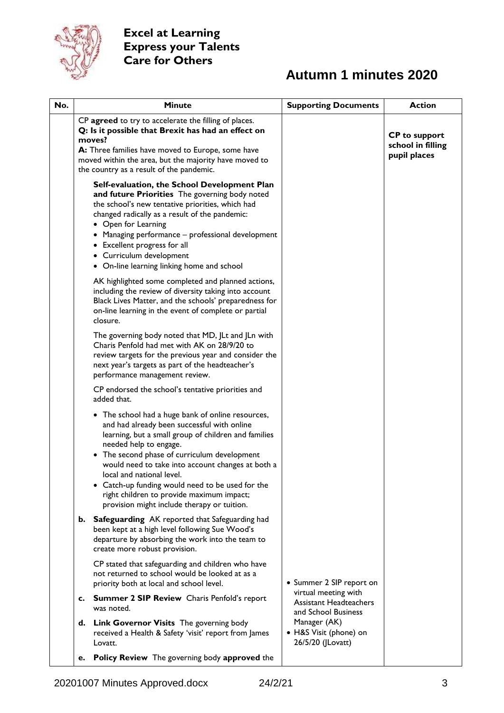

# **Autumn 1 minutes 2020**

| No. |    | <b>Minute</b>                                                                                                                                                                                                                                                                                                                                                                                                                                                                   | <b>Supporting Documents</b>                                                  | <b>Action</b>                                             |
|-----|----|---------------------------------------------------------------------------------------------------------------------------------------------------------------------------------------------------------------------------------------------------------------------------------------------------------------------------------------------------------------------------------------------------------------------------------------------------------------------------------|------------------------------------------------------------------------------|-----------------------------------------------------------|
|     |    | CP agreed to try to accelerate the filling of places.<br>Q: Is it possible that Brexit has had an effect on<br>moves?<br>A: Three families have moved to Europe, some have<br>moved within the area, but the majority have moved to<br>the country as a result of the pandemic.                                                                                                                                                                                                 |                                                                              | <b>CP</b> to support<br>school in filling<br>pupil places |
|     |    | Self-evaluation, the School Development Plan<br>and future Priorities The governing body noted<br>the school's new tentative priorities, which had<br>changed radically as a result of the pandemic:<br>• Open for Learning<br>Managing performance – professional development<br>• Excellent progress for all<br>• Curriculum development<br>• On-line learning linking home and school                                                                                        |                                                                              |                                                           |
|     |    | AK highlighted some completed and planned actions,<br>including the review of diversity taking into account<br>Black Lives Matter, and the schools' preparedness for<br>on-line learning in the event of complete or partial<br>closure.                                                                                                                                                                                                                                        |                                                                              |                                                           |
|     |    | The governing body noted that MD, JLt and JLn with<br>Charis Penfold had met with AK on 28/9/20 to<br>review targets for the previous year and consider the<br>next year's targets as part of the headteacher's<br>performance management review.                                                                                                                                                                                                                               |                                                                              |                                                           |
|     |    | CP endorsed the school's tentative priorities and<br>added that.                                                                                                                                                                                                                                                                                                                                                                                                                |                                                                              |                                                           |
|     |    | • The school had a huge bank of online resources,<br>and had already been successful with online<br>learning, but a small group of children and families<br>needed help to engage.<br>The second phase of curriculum development<br>$\bullet$<br>would need to take into account changes at both a<br>local and national level.<br>• Catch-up funding would need to be used for the<br>right children to provide maximum impact;<br>provision might include therapy or tuition. |                                                                              |                                                           |
|     | b. | <b>Safeguarding</b> AK reported that Safeguarding had<br>been kept at a high level following Sue Wood's<br>departure by absorbing the work into the team to<br>create more robust provision.                                                                                                                                                                                                                                                                                    |                                                                              |                                                           |
|     |    | CP stated that safeguarding and children who have<br>not returned to school would be looked at as a<br>priority both at local and school level.                                                                                                                                                                                                                                                                                                                                 | • Summer 2 SIP report on                                                     |                                                           |
|     | c. | <b>Summer 2 SIP Review</b> Charis Penfold's report<br>was noted.                                                                                                                                                                                                                                                                                                                                                                                                                | virtual meeting with<br><b>Assistant Headteachers</b><br>and School Business |                                                           |
|     | d. | <b>Link Governor Visits</b> The governing body<br>received a Health & Safety 'visit' report from James<br>Lovatt.                                                                                                                                                                                                                                                                                                                                                               | Manager (AK)<br>• H&S Visit (phone) on<br>26/5/20 (JLovatt)                  |                                                           |
|     | e. | Policy Review The governing body approved the                                                                                                                                                                                                                                                                                                                                                                                                                                   |                                                                              |                                                           |